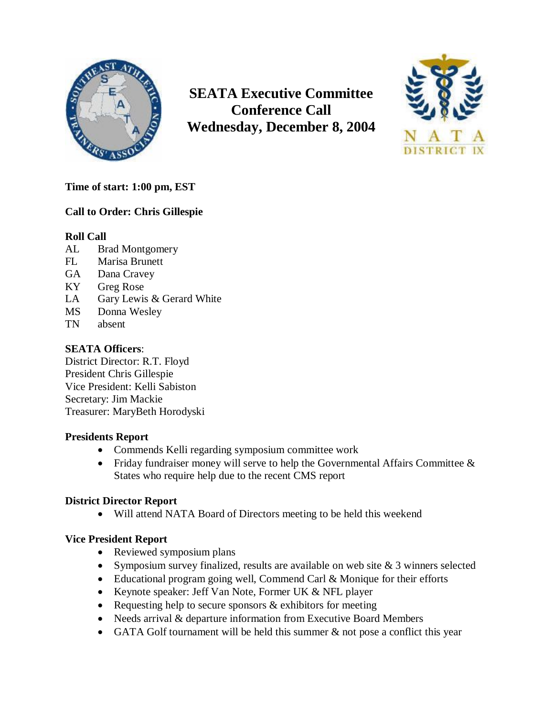

**SEATA Executive Committee Conference Call Wednesday, December 8, 2004**



# **Time of start: 1:00 pm, EST**

# **Call to Order: Chris Gillespie**

## **Roll Call**

- AL Brad Montgomery
- FL Marisa Brunett
- GA Dana Cravey
- KY Greg Rose
- LA Gary Lewis & Gerard White
- MS Donna Wesley
- TN absent

# **SEATA Officers**:

District Director: R.T. Floyd President Chris Gillespie Vice President: Kelli Sabiston Secretary: Jim Mackie Treasurer: MaryBeth Horodyski

## **Presidents Report**

- Commends Kelli regarding symposium committee work
- Friday fundraiser money will serve to help the Governmental Affairs Committee  $\&$ States who require help due to the recent CMS report

## **District Director Report**

Will attend NATA Board of Directors meeting to be held this weekend

## **Vice President Report**

- Reviewed symposium plans
- Symposium survey finalized, results are available on web site  $& 3$  winners selected
- Educational program going well, Commend Carl & Monique for their efforts
- Keynote speaker: Jeff Van Note, Former UK & NFL player
- Requesting help to secure sponsors  $&$  exhibitors for meeting
- Needs arrival & departure information from Executive Board Members
- GATA Golf tournament will be held this summer & not pose a conflict this year